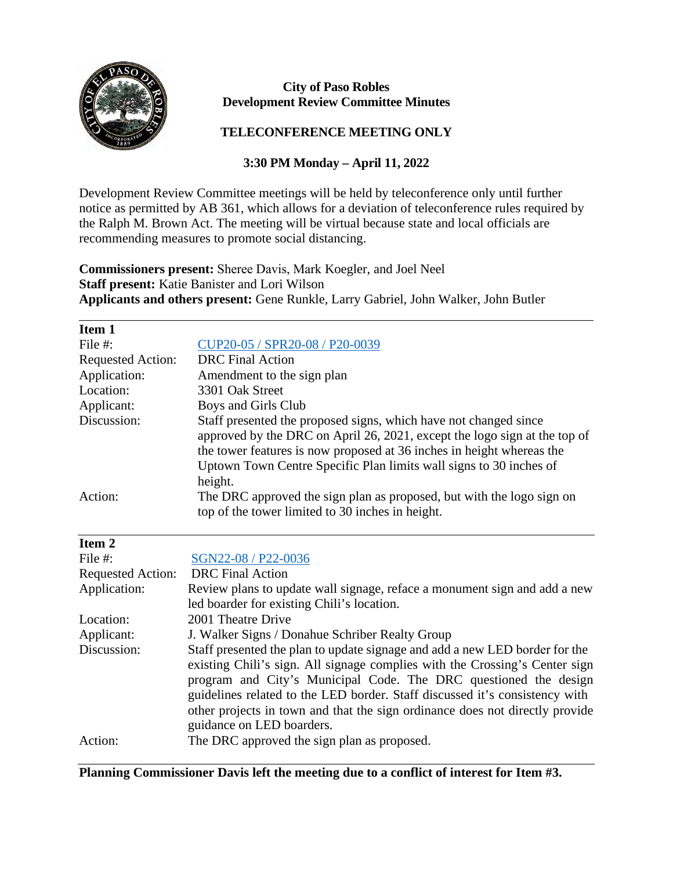

## **City of Paso Robles Development Review Committee Minutes**

## **TELECONFERENCE MEETING ONLY**

## **3:30 PM Monday – April 11, 2022**

Development Review Committee meetings will be held by teleconference only until further notice as permitted by AB 361, which allows for a deviation of teleconference rules required by the Ralph M. Brown Act. The meeting will be virtual because state and local officials are recommending measures to promote social distancing.

**Commissioners present:** Sheree Davis, Mark Koegler, and Joel Neel **Staff present:** Katie Banister and Lori Wilson **Applicants and others present:** Gene Runkle, Larry Gabriel, John Walker, John Butler

| Item 1                   |                                                                                                                                                                                                                                                                                              |
|--------------------------|----------------------------------------------------------------------------------------------------------------------------------------------------------------------------------------------------------------------------------------------------------------------------------------------|
| File $#$ :               | CUP20-05 / SPR20-08 / P20-0039                                                                                                                                                                                                                                                               |
| <b>Requested Action:</b> | DRC Final Action                                                                                                                                                                                                                                                                             |
| Application:             | Amendment to the sign plan                                                                                                                                                                                                                                                                   |
| Location:                | 3301 Oak Street                                                                                                                                                                                                                                                                              |
| Applicant:               | Boys and Girls Club                                                                                                                                                                                                                                                                          |
| Discussion:              | Staff presented the proposed signs, which have not changed since<br>approved by the DRC on April 26, 2021, except the logo sign at the top of<br>the tower features is now proposed at 36 inches in height whereas the<br>Uptown Town Centre Specific Plan limits wall signs to 30 inches of |
|                          | height.                                                                                                                                                                                                                                                                                      |
| Action:                  | The DRC approved the sign plan as proposed, but with the logo sign on<br>top of the tower limited to 30 inches in height.                                                                                                                                                                    |

| Item 2                   |                                                                                                                                                                                                                                                                                                                                                                                                                            |
|--------------------------|----------------------------------------------------------------------------------------------------------------------------------------------------------------------------------------------------------------------------------------------------------------------------------------------------------------------------------------------------------------------------------------------------------------------------|
| File $#$ :               | SGN22-08 / P22-0036                                                                                                                                                                                                                                                                                                                                                                                                        |
| <b>Requested Action:</b> | <b>DRC</b> Final Action                                                                                                                                                                                                                                                                                                                                                                                                    |
| Application:             | Review plans to update wall signage, reface a monument sign and add a new                                                                                                                                                                                                                                                                                                                                                  |
|                          | led boarder for existing Chili's location.                                                                                                                                                                                                                                                                                                                                                                                 |
| Location:                | 2001 Theatre Drive                                                                                                                                                                                                                                                                                                                                                                                                         |
| Applicant:               | J. Walker Signs / Donahue Schriber Realty Group                                                                                                                                                                                                                                                                                                                                                                            |
| Discussion:              | Staff presented the plan to update signage and add a new LED border for the<br>existing Chili's sign. All signage complies with the Crossing's Center sign<br>program and City's Municipal Code. The DRC questioned the design<br>guidelines related to the LED border. Staff discussed it's consistency with<br>other projects in town and that the sign ordinance does not directly provide<br>guidance on LED boarders. |
| Action:                  | The DRC approved the sign plan as proposed.                                                                                                                                                                                                                                                                                                                                                                                |

**Planning Commissioner Davis left the meeting due to a conflict of interest for Item #3.**